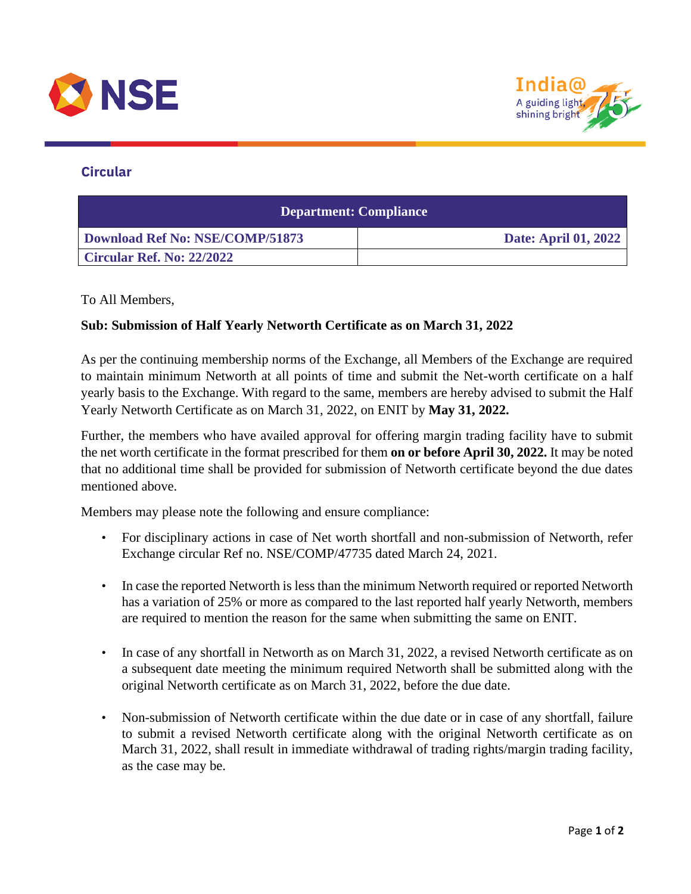



## **Circular**

| <b>Department: Compliance</b>   |                             |
|---------------------------------|-----------------------------|
| Download Ref No: NSE/COMP/51873 | <b>Date: April 01, 2022</b> |
| Circular Ref. No: 22/2022       |                             |

## To All Members,

## **Sub: Submission of Half Yearly Networth Certificate as on March 31, 2022**

As per the continuing membership norms of the Exchange, all Members of the Exchange are required to maintain minimum Networth at all points of time and submit the Net-worth certificate on a half yearly basis to the Exchange. With regard to the same, members are hereby advised to submit the Half Yearly Networth Certificate as on March 31, 2022, on ENIT by **May 31, 2022.**

Further, the members who have availed approval for offering margin trading facility have to submit the net worth certificate in the format prescribed for them **on or before April 30, 2022.** It may be noted that no additional time shall be provided for submission of Networth certificate beyond the due dates mentioned above.

Members may please note the following and ensure compliance:

- For disciplinary actions in case of Net worth shortfall and non-submission of Networth, refer Exchange circular Ref no. NSE/COMP/47735 dated March 24, 2021.
- In case the reported Networth is less than the minimum Networth required or reported Networth has a variation of 25% or more as compared to the last reported half yearly Networth, members are required to mention the reason for the same when submitting the same on ENIT.
- In case of any shortfall in Networth as on March 31, 2022, a revised Networth certificate as on a subsequent date meeting the minimum required Networth shall be submitted along with the original Networth certificate as on March 31, 2022, before the due date.
- Non-submission of Networth certificate within the due date or in case of any shortfall, failure to submit a revised Networth certificate along with the original Networth certificate as on March 31, 2022, shall result in immediate withdrawal of trading rights/margin trading facility, as the case may be.